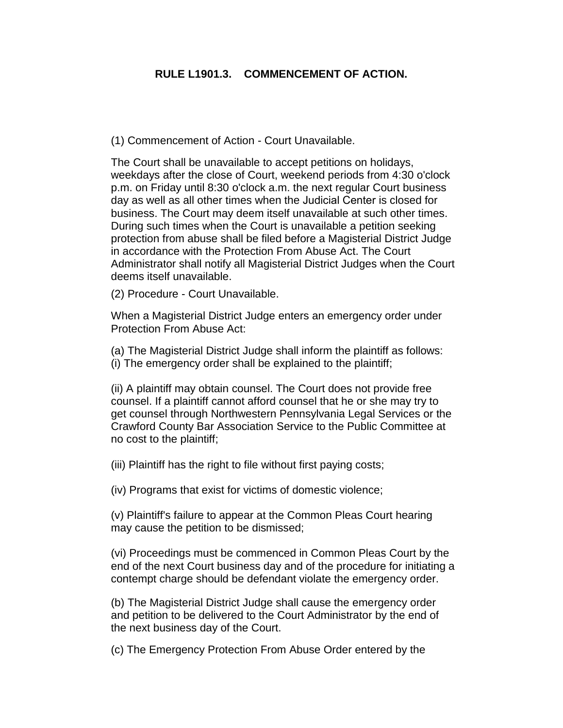## **RULE L1901.3. COMMENCEMENT OF ACTION.**

(1) Commencement of Action - Court Unavailable.

The Court shall be unavailable to accept petitions on holidays, weekdays after the close of Court, weekend periods from 4:30 o'clock p.m. on Friday until 8:30 o'clock a.m. the next regular Court business day as well as all other times when the Judicial Center is closed for business. The Court may deem itself unavailable at such other times. During such times when the Court is unavailable a petition seeking protection from abuse shall be filed before a Magisterial District Judge in accordance with the Protection From Abuse Act. The Court Administrator shall notify all Magisterial District Judges when the Court deems itself unavailable.

(2) Procedure - Court Unavailable.

When a Magisterial District Judge enters an emergency order under Protection From Abuse Act:

(a) The Magisterial District Judge shall inform the plaintiff as follows: (i) The emergency order shall be explained to the plaintiff;

(ii) A plaintiff may obtain counsel. The Court does not provide free counsel. If a plaintiff cannot afford counsel that he or she may try to get counsel through Northwestern Pennsylvania Legal Services or the Crawford County Bar Association Service to the Public Committee at no cost to the plaintiff;

(iii) Plaintiff has the right to file without first paying costs;

(iv) Programs that exist for victims of domestic violence;

(v) Plaintiff's failure to appear at the Common Pleas Court hearing may cause the petition to be dismissed;

(vi) Proceedings must be commenced in Common Pleas Court by the end of the next Court business day and of the procedure for initiating a contempt charge should be defendant violate the emergency order.

(b) The Magisterial District Judge shall cause the emergency order and petition to be delivered to the Court Administrator by the end of the next business day of the Court.

(c) The Emergency Protection From Abuse Order entered by the